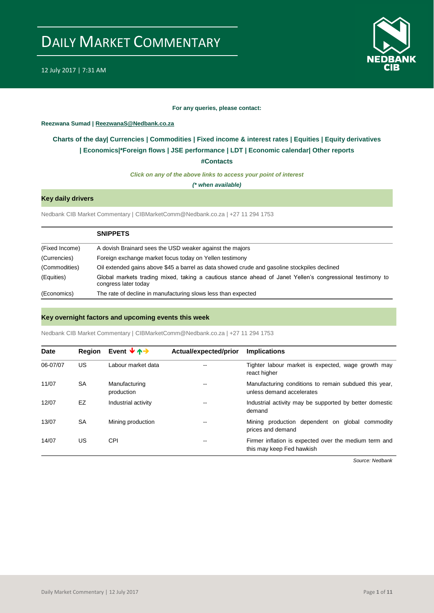

#### **For any queries, please contact:**

### <span id="page-0-0"></span>**Reezwana Sumad | ReezwanaS@Nedbank.co.za**

## **Charts of the day| [Currencies](#page-2-0) [| Commodities](#page-3-0) | [Fixed income & interest rates](#page-1-0) | [Equities](#page-4-0) | Equity derivatives | [Economics|\\*](#page-7-0)Foreign flows [| JSE performance](#page-4-1) | [LDT](#page-5-0) | [Economic calendar|](#page-8-0) Other reports**

**[#Contacts](#page-9-0)**

*Click on any of the above links to access your point of interest*

*(\* when available)*

## **Key daily drivers**

Nedbank CIB Market Commentary | CIBMarketComm@Nedbank.co.za | +27 11 294 1753

|                | <b>SNIPPETS</b>                                                                                                                   |
|----------------|-----------------------------------------------------------------------------------------------------------------------------------|
| (Fixed Income) | A dovish Brainard sees the USD weaker against the majors                                                                          |
| (Currencies)   | Foreign exchange market focus today on Yellen testimony                                                                           |
| (Commodities)  | Oil extended gains above \$45 a barrel as data showed crude and gasoline stockpiles declined                                      |
| (Equities)     | Global markets trading mixed, taking a cautious stance ahead of Janet Yellen's congressional testimony to<br>congress later today |
| (Economics)    | The rate of decline in manufacturing slows less than expected                                                                     |

## **Key overnight factors and upcoming events this week**

Nedbank CIB Market Commentary | CIBMarketComm@Nedbank.co.za | +27 11 294 1753

| <b>Date</b> | <b>Region</b> | Event $\forall$ $\uparrow$ $\rightarrow$ | Actual/expected/prior | <b>Implications</b>                                                                |
|-------------|---------------|------------------------------------------|-----------------------|------------------------------------------------------------------------------------|
| 06-07/07    | US            | Labour market data                       |                       | Tighter labour market is expected, wage growth may<br>react higher                 |
| 11/07       | <b>SA</b>     | Manufacturing<br>production              |                       | Manufacturing conditions to remain subdued this year,<br>unless demand accelerates |
| 12/07       | EZ            | Industrial activity                      | --                    | Industrial activity may be supported by better domestic<br>demand                  |
| 13/07       | <b>SA</b>     | Mining production                        | --                    | Mining production dependent on global commodity<br>prices and demand               |
| 14/07       | US            | CPI                                      | --                    | Firmer inflation is expected over the medium term and<br>this may keep Fed hawkish |
|             |               |                                          |                       |                                                                                    |

*Source: Nedbank*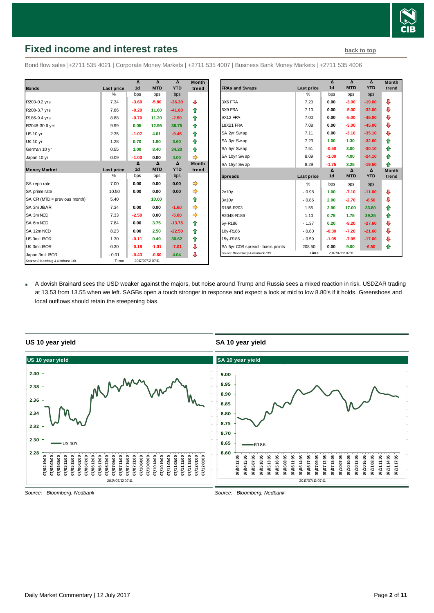

# <span id="page-1-0"></span>**Fixed income and interest rates [back to](#page-0-0) top back to top**

Bond flow sales |+2711 535 4021 | Corporate Money Markets | +2711 535 4007 | Business Bank Money Markets | +2711 535 4006

|                                 |               | Δ              | $\Lambda$        | $\Lambda$  | <b>Month</b> |
|---------------------------------|---------------|----------------|------------------|------------|--------------|
| <b>Bonds</b>                    | Last price    | 1 <sub>d</sub> | <b>MTD</b>       | <b>YTD</b> | trend        |
|                                 | $\frac{0}{0}$ | bps            | bps              | bps        |              |
| R203-0.2 yrs                    | 7.34          | $-3.60$        | $-5.80$          | $-36.30$   | ⊕            |
| R208-3.7 yrs                    | 7.86          | $-0.20$        | 11.60            | $-41.60$   | ⇮            |
| R186-9.4 yrs                    | 8.88          | $-0.70$        | 11.20            | $-2.50$    | ✿            |
| R2048-30.6 yrs                  | 9.99          | 0.05           | 12.95            | 36.75      | ⇑            |
| <b>US 10 yr</b>                 | 2.35          | $-1.07$        | 4.61             | $-9.45$    | ⇮            |
| <b>UK 10 yr</b>                 | 1.28          | 0.70           | 1.80             | 3.60       | ⇑            |
| German 10 yr                    | 0.55          | 1.00           | 8.40             | 34.20      | ⇑            |
| Japan 10 yr                     | 0.09          | $-1.00$        | 0.00             | 4.00       | ⇛            |
|                                 |               | Δ              | Δ                | Δ          | <b>Month</b> |
| <b>Money Market</b>             | Last price    | 1 <sub>d</sub> | <b>MTD</b>       | <b>YTD</b> | trend        |
|                                 | %             | bps            | bps              | bps        |              |
| SA repo rate                    | 7.00          | 0.00           | 0.00             | 0.00       | ⇛            |
| SA prime rate                   | 10.50         | 0.00           | 0.00             | 0.00       | ➾            |
| SA CPI (MTD = previous month)   | 5.40          |                | 10.00            |            | 合            |
| SA 3m JIBAR                     | 7.34          | 0.00           | 0.00             | $-1.60$    |              |
| SA 3m NCD                       | 7.33          | $-2.50$        | 0.00             | $-5.00$    |              |
| SA 6m NCD                       | 7.84          | 0.00           | 3.75             | $-13.75$   | ⇮            |
| SA 12m NCD                      | 8.23          | 0.00           | 2.50             | $-22.50$   | ⇮            |
| US 3m LIBOR                     | 1.30          | $-0.11$        | 0.49             | 30.62      | ⇑            |
| UK 3m LIBOR                     | 0.30          | $-0.18$        | $-1.01$          | $-7.01$    | ⊕            |
| Japan 3m LIBOR                  | $-0.01$       | $-0.43$        | $-0.60$          | 4.04       | ⊕            |
| Source: Bloomberg & Nedbank CIB | Time          |                | 2017/07/12 07:11 |            |              |

|                                  |            | Δ                   | Δ                      | $\Delta$               | <b>Month</b>          |
|----------------------------------|------------|---------------------|------------------------|------------------------|-----------------------|
| <b>FRAs and Swaps</b>            | Last price | 1 <sub>d</sub>      | <b>MTD</b>             | <b>YTD</b>             | trend                 |
|                                  | %          | bps                 | bps                    | bps                    |                       |
| 3X6 FRA                          | 7.20       | 0.00                | $-3.00$                | $-19.00$               | ⊕                     |
| 6X9 FRA                          | 7.10       | 0.00                | $-5.00$                | $-32.00$               | ⊕                     |
| 9X12 FRA                         | 7.00       | 0.00                | $-5.00$                | $-45.00$               | ⊕                     |
| <b>18X21 FRA</b>                 | 7.08       | 0.00                | $-3.00$                | $-45.00$               | ⇩                     |
| SA 2yr Swap                      | 7.11       | 0.00                | $-3.10$                | $-35.10$               | ⊕                     |
| SA 3yr Swap                      | 7.23       | 1.00                | 1.30                   | $-32.60$               | ⇑                     |
| SA 5yr Swap                      | 7.51       | $-0.50$             | 3.00                   | $-30.10$               | ⇑                     |
| SA 10yr Swap                     | 8.09       | $-1.00$             | 4.00                   | $-24.10$               | ♠                     |
| SA 15yr Swap                     | 8.29       | $-1.75$             | 3.25                   | $-19.50$               | ⇑                     |
|                                  |            | Δ<br>1 <sub>d</sub> | $\Delta$<br><b>MTD</b> | $\Delta$<br><b>YTD</b> | <b>Month</b><br>trend |
| <b>Spreads</b>                   | Last price |                     |                        |                        |                       |
|                                  | %          | bps                 | bps                    | bps                    |                       |
| 2v10v                            | $-0.98$    | 1.00                | $-7.10$                | $-11.00$               | ⊕                     |
| 3v10v                            | $-0.86$    | 2.00                | $-2.70$                | $-8.50$                | ⇩                     |
| R186-R203                        | 1.55       | 2.90                | 17.00                  | 33.80                  | ⇑                     |
| R2048-R186                       | 1.10       | 0.75                | 1.75                   | 39.25                  | ⇑                     |
| 5y-R186                          | $-1.37$    | 0.20                | $-8.20$                | $-27.60$               | ⇩                     |
| 10y-R186                         | $-0.80$    | $-0.30$             | $-7.20$                | $-21.60$               | ⊕                     |
| 15y-R186                         | $-0.59$    | $-1.05$             | $-7.95$                | $-17.00$               | ⊕                     |
| SA 5yr CDS spread - basis points | 208.50     | 0.00                | 9.00                   | $-6.50$                | ⇑                     |
| Source: Bloomberg & Nedbank CIB  | Time       |                     | 2017/07/12 07:11       |                        |                       |

 A dovish Brainard sees the USD weaker against the majors, but noise around Trump and Russia sees a mixed reaction in risk. USDZAR trading at 13.53 from 13.55 when we left. SAGBs open a touch stronger in response and expect a look at mid to low 8.80's if it holds. Greenshoes and local outflows should retain the steepening bias.



#### **US 10 year yield**

**SA 10 year yield**

*Source: Bloomberg, Nedbank*

*Source: Bloomberg, Nedbank*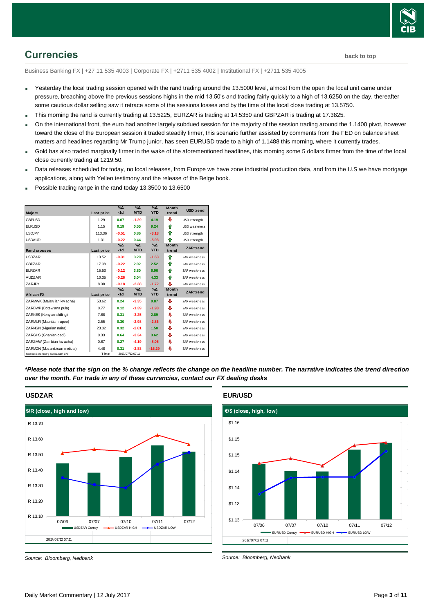

# <span id="page-2-0"></span>**Currencies [back to top](#page-0-0)**

Business Banking FX | +27 11 535 4003 | Corporate FX | +2711 535 4002 | Institutional FX | +2711 535 4005

- Yesterday the local trading session opened with the rand trading around the 13.5000 level, almost from the open the local unit came under pressure, breaching above the previous sessions highs in the mid 13.50's and trading fairly quickly to a high of 13.6250 on the day, thereafter some cautious dollar selling saw it retrace some of the sessions losses and by the time of the local close trading at 13.5750.
- This morning the rand is currently trading at 13.5225, EURZAR is trading at 14.5350 and GBPZAR is trading at 17.3825.
- On the international front, the euro had another largely subdued session for the majority of the session trading around the 1.1400 pivot, however toward the close of the European session it traded steadily firmer, this scenario further assisted by comments from the FED on balance sheet matters and headlines regarding Mr Trump junior, has seen EURUSD trade to a high of 1.1488 this morning, where it currently trades.
- Gold has also traded marginally firmer in the wake of the aforementioned headlines, this morning some 5 dollars firmer from the time of the local close currently trading at 1219.50.
- Data releases scheduled for today, no local releases, from Europe we have zone industrial production data, and from the U.S we have mortgage applications, along with Yellen testimony and the release of the Beige book.
- Possible trading range in the rand today 13.3500 to 13.6500

| <b>Majors</b>                   | Last price        | $% \Delta$<br>$-1d$    | $\%$ $\Delta$<br><b>MTD</b> | $\%$ $\Delta$<br><b>YTD</b> | <b>Month</b><br>trend | <b>USD</b> trend    |
|---------------------------------|-------------------|------------------------|-----------------------------|-----------------------------|-----------------------|---------------------|
| <b>GBPUSD</b>                   | 1.29              | 0.07                   | $-1.29$                     | 4.19                        | ⊕                     | USD strength        |
| <b>EURUSD</b>                   | 1.15              | 0.19                   | 0.55                        | 9.24                        | ⇑                     | <b>USD</b> weakness |
| <b>USDJPY</b>                   | 113.36            | $-0.51$                | 0.86                        | $-3.18$                     | ⇑                     | USD strength        |
| <b>USDAUD</b>                   | 1.31              | $-0.22$                | 0.44                        | $-5.93$                     | 全                     | USD strength        |
| <b>Rand crosses</b>             | Last price        | $\%$ $\Delta$<br>$-1d$ | $\Delta_0$<br><b>MTD</b>    | $\%$ $\Delta$<br><b>YTD</b> | <b>Month</b><br>trend | <b>ZAR</b> trend    |
| <b>USDZAR</b>                   | 13.52             | $-0.31$                | 3.29                        | $-1.63$                     | ♠                     | ZAR weakness        |
| <b>GBPZAR</b>                   | 17.38             | $-0.22$                | 2.02                        | 2.52                        | ⇑                     | ZAR weakness        |
| <b>EURZAR</b>                   | 15.53             | $-0.12$                | 3.80                        | 6.96                        | ⇑                     | <b>ZAR</b> weakness |
| <b>AUDZAR</b>                   | 10.35             | $-0.26$                | 3.04                        | 4.33                        | ⇑                     | ZAR weakness        |
| ZARJPY                          | 8.38              | $-0.18$                | $-2.38$                     | $-1.72$                     | ⊕                     | ZAR weakness        |
| <b>African FX</b>               | <b>Last price</b> | $\%$ $\Delta$<br>$-1d$ | $\Delta_0$<br><b>MTD</b>    | $\Delta_0$<br><b>YTD</b>    | <b>Month</b><br>trend | <b>ZAR</b> trend    |
| ZARMWK (Malaw ian kw acha)      | 53.62             | 0.24                   | $-3.35$                     | 0.87                        | ⊕                     | ZAR weakness        |
| ZARBWP (Botsw ana pula)         | 0.77              | 0.12                   | $-1.39$                     | $-1.98$                     | ⊕                     | <b>ZAR</b> weakness |
| ZARKES (Kenyan shilling)        | 7.68              | 0.31                   | $-3.25$                     | 2.89                        | ⊕                     | ZAR weakness        |
| ZARMUR (Mauritian rupee)        | 2.55              | 0.30                   | $-2.98$                     | $-2.86$                     | ⊕                     | ZAR weakness        |
| ZARNGN (Nigerian naira)         | 23.32             | 0.32                   | $-2.81$                     | 1.50                        | ⊕                     | <b>ZAR</b> weakness |
| ZARGHS (Ghanian cedi)           | 0.33              | 0.64                   | $-3.34$                     | 3.62                        | ⊕                     | ZAR weakness        |
| ZARZMW (Zambian kw acha)        | 0.67              | 0.27                   | $-4.19$                     | $-8.05$                     | ⊕                     | ZAR weakness        |
| ZARMZN (Mozambican metical)     | 4.48              | 0.31                   | $-2.88$                     | $-16.29$                    | ⊕                     | ZAR weakness        |
| Source: Bloomberg & Nedbank CIB | Time              |                        | 2017/07/12 07:11            |                             |                       |                     |

*\*Please note that the sign on the % change reflects the change on the headline number. The narrative indicates the trend direction over the month. For trade in any of these currencies, contact our FX dealing desks*



**USDZAR**

*Source: Bloomberg, Nedbank*

#### **EUR/USD**



*Source: Bloomberg, Nedbank*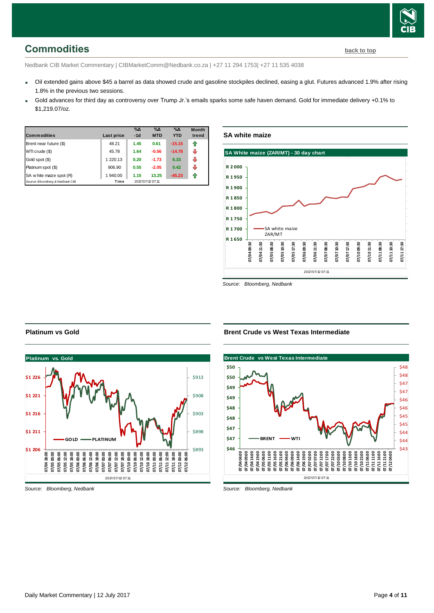## Daily Market Commentary | 12 July 2017 Page **4** of **11**

# <span id="page-3-0"></span>**Commodities [back to top](#page-0-0)**

Nedbank CIB Market Commentary | CIBMarketComm@Nedbank.co.za | +27 11 294 1753| +27 11 535 4038

- Oil extended gains above \$45 a barrel as data showed crude and gasoline stockpiles declined, easing a glut. Futures advanced 1.9% after rising 1.8% in the previous two sessions.
- Gold advances for third day as controversy over Trump Jr.'s emails sparks some safe haven demand. Gold for immediate delivery +0.1% to \$1,219.07/oz.

| <b>Commodities</b>              | Last price | $\%$ $\Delta$<br>$-1d$ | $\%$ $\Delta$<br><b>MTD</b> | $\%$ $\Delta$<br><b>YTD</b> | <b>Month</b><br>trend |
|---------------------------------|------------|------------------------|-----------------------------|-----------------------------|-----------------------|
| Brent near future (\$)          | 48.21      | 1.45                   | 0.61                        | $-15.15$                    |                       |
| WTI crude (\$)                  | 45.78      | 1.64                   | $-0.56$                     | $-14.78$                    | ⊕                     |
| Gold spot (\$)                  | 1 220.13   | 0.20                   | $-1.73$                     | 6.33                        | ⊕                     |
| Platinum spot (\$)              | 906.90     | 0.55                   | $-2.05$                     | 0.42                        | ⊕                     |
| SA w hite maize spot (R)        | 1 940.00   | 1.15                   | 13.25                       | $-45.23$                    | ⇑                     |
| Source: Bloomberg & Nedbank CIB | Time       |                        | 2017/07/12 07:11            |                             |                       |

**SA white maize**



*Source: Bloomberg, Nedbank*

**Brent Crude vs West Texas Intermediate**

#### **Brent Crude vs West Texas Intermediate**  2017/07/12 07:11 \$43  $$44$ \$44 \$45 \$45 \$46 \$46 \$47 \$47 \$48 \$48 **\$46 \$47 \$47 \$48 \$48 \$49 \$49 \$50 \$50 07/04 04:00 07/04 09:00 07/04 14:00 07/04 19:00 07/05 06:00 07/05 11:00 07/05 16:00 07/05 21:00 07/06 04:00 07/06 09:00 07/06 14:00 07/06 19:00 07/07 02:00 07/07 07:00 07/07 12:00 07/07 17:00 07/07 22:00 07/10 03:00 07/10 08:00 07/10 13:00 07/10 18:00 07/10 23:00 07/11 06:00 07/11 11:00 07/11 16:00 07/11 21:00 07/12 04:00 BRENT WTI**

*Source: Bloomberg, Nedbank*



*Source: Bloomberg, Nedbank*

**Platinum vs Gold**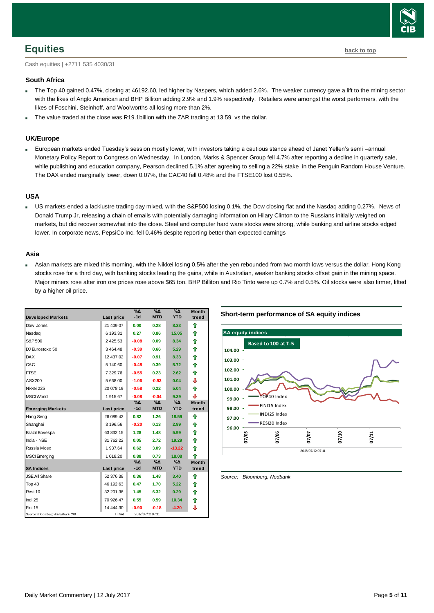## <span id="page-4-0"></span>**Equities [back to top](#page-0-0)**

Cash equities | +2711 535 4030/31

### **South Africa**

- The Top 40 gained 0.47%, closing at 46192.60, led higher by Naspers, which added 2.6%. The weaker currency gave a lift to the mining sector with the likes of Anglo American and BHP Billiton adding 2.9% and 1.9% respectively. Retailers were amongst the worst performers, with the likes of Foschini, Steinhoff, and Woolworths all losing more than 2%.
- The value traded at the close was R19.1billion with the ZAR trading at 13.59 vs the dollar.

## **UK/Europe**

 European markets ended Tuesday's session mostly lower, with investors taking a cautious stance ahead of Janet Yellen's semi –annual Monetary Policy Report to Congress on Wednesday. In London, Marks & Spencer Group fell 4.7% after reporting a decline in quarterly sale, while publishing and education company, Pearson declined 5.1% after agreeing to selling a 22% stake in the Penguin Random House Venture. The DAX ended marginally lower, down 0.07%, the CAC40 fell 0.48% and the FTSE100 lost 0.55%.

## **USA**

 US markets ended a lacklustre trading day mixed, with the S&P500 losing 0.1%, the Dow closing flat and the Nasdaq adding 0.27%. News of Donald Trump Jr, releasing a chain of emails with potentially damaging information on Hilary Clinton to the Russians initially weighed on markets, but did recover somewhat into the close. Steel and computer hard ware stocks were strong, while banking and airline stocks edged lower. In corporate news, PepsiCo Inc. fell 0.46% despite reporting better than expected earnings

#### **Asia**

 Asian markets are mixed this morning, with the Nikkei losing 0.5% after the yen rebounded from two month lows versus the dollar. Hong Kong stocks rose for a third day, with banking stocks leading the gains, while in Australian, weaker banking stocks offset gain in the mining space. Major miners rose after iron ore prices rose above \$65 ton. BHP Billiton and Rio Tinto were up 0.7% and 0.5%. Oil stocks were also firmer, lifted by a higher oil price.

|                                 |            | %Δ      | %∆               | %Δ            | <b>Month</b> |
|---------------------------------|------------|---------|------------------|---------------|--------------|
| <b>Developed Markets</b>        | Last price | $-1d$   | <b>MTD</b>       | <b>YTD</b>    | trend        |
| Dow Jones                       | 21 409.07  | 0.00    | 0.28             | 8.33          | ⇑            |
| Nasdag                          | 6 193.31   | 0.27    | 0.86             | 15.05         | ⇑            |
| S&P 500                         | 2425.53    | $-0.08$ | 0.09             | 8.34          | 合            |
| DJ Eurostoxx 50                 | 3 4 64.48  | $-0.39$ | 0.66             | 5.29          | ♠            |
| <b>DAX</b>                      | 12 437.02  | $-0.07$ | 0.91             | 8.33          | 合            |
| CAC                             | 5 140.60   | $-0.48$ | 0.39             | 5.72          | 合            |
| <b>FTSE</b>                     | 7 329.76   | $-0.55$ | 0.23             | 2.62          | 合            |
| ASX200                          | 5 668.00   | $-1.06$ | $-0.93$          | 0.04          | ⊕            |
| Nikkei 225                      | 20 078.19  | $-0.58$ | 0.22             | 5.04          | 合            |
| <b>MSCI World</b>               | 1915.67    | $-0.08$ | $-0.04$          | 9.39          | ⊕            |
|                                 |            | %Δ      | %Δ               | $\%$ $\Delta$ | <b>Month</b> |
| <b>Emerging Markets</b>         | Last price | $-1d$   | <b>MTD</b>       | <b>YTD</b>    | trend        |
| Hang Seng                       | 26 089.42  | 0.82    | 1.26             | 18.59         | ⇑            |
| Shanghai                        | 3 196.56   | $-0.20$ | 0.13             | 2.99          | ♠            |
| Brazil Bovespa                  | 63 832.15  | 1.28    | 1.48             | 5.99          | ⇑            |
| India - NSE                     | 31 762.22  | 0.05    | 2.72             | 19.29         | ⇑            |
| Russia Micex                    | 1 937.64   | 0.62    | 3.09             | $-13.22$      | 合            |
| <b>MSCI</b> Emerging            | 1 018.20   | 0.88    | 0.73             | 18.08         | 合            |
|                                 |            | %Δ      | %Δ               | $\%$ $\Delta$ | <b>Month</b> |
| <b>SA Indices</b>               | Last price | $-1d$   | <b>MTD</b>       | <b>YTD</b>    | trend        |
| <b>JSE All Share</b>            | 52 376.38  | 0.36    | 1.48             | 3.40          | ⇑            |
| Top 40                          | 46 192.63  | 0.47    | 1.70             | 5.22          | ⇑            |
| Resi 10                         | 32 201.36  | 1.45    | 6.32             | 0.29          | ⇑            |
| Indi 25                         | 70 926.47  | 0.55    | 0.59             | 10.34         | 合            |
| Fini 15                         | 14 444.30  | $-0.90$ | $-0.18$          | $-4.20$       | ⊕            |
| Source: Bloomberg & Nedbank CIB | Time       |         | 2017/07/12 07:11 |               |              |





<span id="page-4-1"></span>*Source: Bloomberg, Nedbank*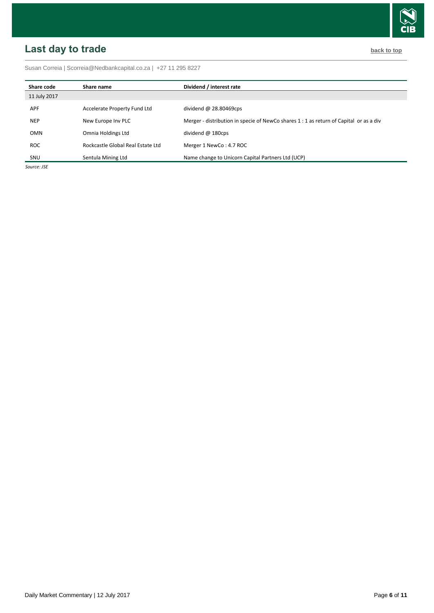# <span id="page-5-0"></span>**Last day to trade back to the contract of the contract of the contract of the contract of the contract of the contract of the contract of the contract of the contract of the contract of the contract of the contract of t**

Susan Correia [| Scorreia@Nedbankcapital.co.za](mailto:Scorreia@Nedbankcapital.co.za) | +27 11 295 8227

| Share code   | Share name                        | Dividend / interest rate                                                               |
|--------------|-----------------------------------|----------------------------------------------------------------------------------------|
| 11 July 2017 |                                   |                                                                                        |
| <b>APF</b>   | Accelerate Property Fund Ltd      | dividend $\omega$ 28.80469cps                                                          |
| <b>NEP</b>   | New Europe Inv PLC                | Merger - distribution in specie of NewCo shares 1 : 1 as return of Capital or as a div |
| OMN          | Omnia Holdings Ltd                | dividend $@$ 180cps                                                                    |
| ROC.         | Rockcastle Global Real Estate Ltd | Merger 1 NewCo: 4.7 ROC                                                                |
| SNU          | Sentula Mining Ltd                | Name change to Unicorn Capital Partners Ltd (UCP)                                      |

*Source: JSE*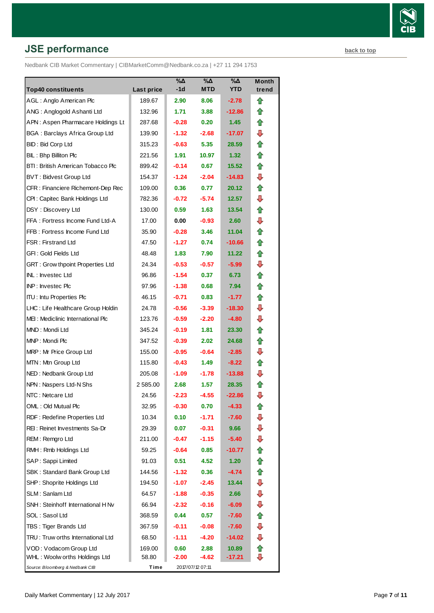# **JSE performance [back to top](#page-0-0) back to top**

Nedbank CIB Market Commentary | CIBMarketComm@Nedbank.co.za | +27 11 294 1753

| <b>Top40 constituents</b>               | Last price | $\%$ $\Delta$<br>-1d | %Δ<br><b>MTD</b> | %Δ<br><b>YTD</b>  | Month<br>trend |
|-----------------------------------------|------------|----------------------|------------------|-------------------|----------------|
| AGL: Anglo American Plc                 | 189.67     | 2.90                 | 8.06             | $-2.78$           | ⇑              |
| ANG: Anglogold Ashanti Ltd              | 132.96     | 1.71                 | 3.88             | $-12.86$          | ⇑              |
| APN: Aspen Pharmacare Holdings Lt       | 287.68     | $-0.28$              | 0.20             | 1.45              | ⇑              |
| <b>BGA: Barclays Africa Group Ltd</b>   | 139.90     | $-1.32$              | $-2.68$          | -17.07            | ⊕              |
| BID: Bid Corp Ltd                       | 315.23     | $-0.63$              | 5.35             | 28.59             | ⇑              |
| BIL: Bhp Billiton Plc                   | 221.56     | 1.91                 | 10.97            | 1.32 <sub>1</sub> | ⇑              |
| BTI: British American Tobacco Plc       | 899.42     | $-0.14$              | 0.67             | 15.52             | ⇑              |
| <b>BVT: Bidvest Group Ltd</b>           | 154.37     | $-1.24$              | $-2.04$          | -14.83            | ⊕              |
| CFR : Financiere Richemont-Dep Rec      | 109.00     | 0.36                 | 0.77             | 20.12             | ⇑              |
| CPI: Capitec Bank Holdings Ltd          | 782.36     | $-0.72$              | $-5.74$          | 12.57             | ⊕              |
| DSY: Discovery Ltd                      | 130.00     | 0.59                 | 1.63             | 13.54             | ⇑              |
| FFA: Fortress Income Fund Ltd-A         | 17.00      | 0.00                 | $-0.93$          | 2.60              | ⊕              |
| FFB: Fortress Income Fund Ltd           | 35.90      | $-0.28$              | 3.46             | 11.04             | ⇑              |
| FSR: Firstrand Ltd                      | 47.50      | $-1.27$              | 0.74             | -10.66            | ⇑              |
| GFI: Gold Fields Ltd                    | 48.48      | 1.83                 | 7.90             | 11.22             | ⇑              |
| <b>GRT: Grow thpoint Properties Ltd</b> | 24.34      | $-0.53$              | $-0.57$          | $-5.99$           | ⊕              |
| <b>INL: Investec Ltd</b>                | 96.86      | $-1.54$              | 0.37             | 6.73              | ⇑              |
| <b>INP:</b> Invested Plc                | 97.96      | $-1.38$              | 0.68             | 7.94              | ⇑              |
| <b>ITU:</b> Intu Properties Plc         | 46.15      | $-0.71$              | 0.83             | -1.77             | ⇑              |
| LHC: Life Healthcare Group Holdin       | 24.78      | $-0.56$              | $-3.39$          | $-18.30$          | ⊕              |
| MEI: Mediclinic International Plc       | 123.76     | $-0.59$              | $-2.20$          | $-4.80$           | ⊕              |
| MND: Mondi Ltd                          | 345.24     | $-0.19$              | 1.81             | 23.30             | ⇑              |
| MNP: Mondi Plc                          | 347.52     | $-0.39$              | 2.02             | 24.68             | ⇑              |
| MRP: Mr Price Group Ltd                 | 155.00     | $-0.95$              | $-0.64$          | $-2.85$           | ⊕              |
| MTN: Mtn Group Ltd                      | 115.80     | $-0.43$              | 1.49             | $-8.22$           | ⇑              |
| NED: Nedbank Group Ltd                  | 205.08     | $-1.09$              | $-1.78$          | $-13.88$          | ⊕              |
| NPN: Naspers Ltd-N Shs                  | 2 585.00   | 2.68                 | 1.57             | 28.35             | ⇑              |
| NTC: Netcare Ltd                        | 24.56      | $-2.23$              | $-4.55$          | $-22.86$          | ⊕              |
| OML: Old Mutual Plc                     | 32.95      | -0.30                | 0.70             | -4.33             | t              |
| RDF: Redefine Properties Ltd            | 10.34      | 0.10                 | -1.71            | $-7.60$           | ⇩              |
| REI: Reinet Investments Sa-Dr           | 29.39      | 0.07                 | $-0.31$          | 9.66              | ⇩              |
| REM: Remgro Ltd                         | 211.00     | $-0.47$              | $-1.15$          | $-5.40$           | ⇩              |
| RMH: Rmb Holdings Ltd                   | 59.25      | $-0.64$              | 0.85             | -10.77            |                |
| SAP: Sappi Limited                      | 91.03      | 0.51                 | 4.52             | 1.20              | 合              |
| SBK: Standard Bank Group Ltd            | 144.56     | $-1.32$              | 0.36             | $-4.74$           | ⇑              |
| SHP: Shoprite Holdings Ltd              | 194.50     | $-1.07$              | $-2.45$          | 13.44             | ⇩              |
| SLM: Sanlam Ltd                         | 64.57      | $-1.88$              | $-0.35$          | 2.66              | ⇩              |
| SNH: Steinhoff International H Nv       | 66.94      | $-2.32$              | $-0.16$          | $-6.09$           | ⇩              |
| SOL: Sasol Ltd                          | 368.59     | 0.44                 | 0.57             | -7.60             | ⇑              |
| TBS: Tiger Brands Ltd                   | 367.59     | $-0.11$              | $-0.08$          | $-7.60$           | ⇩              |
| TRU: Truw orths International Ltd       | 68.50      | $-1.11$              | -4.20            | -14.02            | ⇩              |
| VOD: Vodacom Group Ltd                  | 169.00     | 0.60                 | 2.88             | 10.89             | ⇑              |
| WHL: Woolw orths Holdings Ltd           | 58.80      | $-2.00$              | -4.62            | -17.21            | ⇩              |
| Source: Bloomberg & Nedbank CIB         | Time       |                      | 2017/07/12 07:11 |                   |                |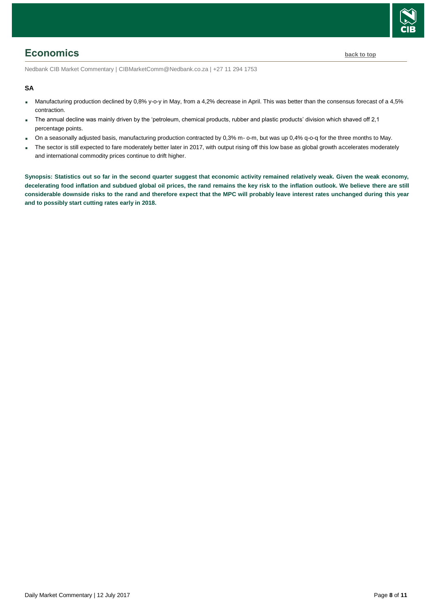

## <span id="page-7-0"></span>**Economics [back to top](#page-0-0)**

Nedbank CIB Market Commentary | CIBMarketComm@Nedbank.co.za | +27 11 294 1753

#### **SA**

- Manufacturing production declined by 0,8% y-o-y in May, from a 4,2% decrease in April. This was better than the consensus forecast of a 4,5% contraction.
- The annual decline was mainly driven by the 'petroleum, chemical products, rubber and plastic products' division which shaved off 2,1 percentage points.
- On a seasonally adjusted basis, manufacturing production contracted by 0,3% m- o-m, but was up 0,4% q-o-q for the three months to May.
- The sector is still expected to fare moderately better later in 2017, with output rising off this low base as global growth accelerates moderately and international commodity prices continue to drift higher.

**Synopsis: Statistics out so far in the second quarter suggest that economic activity remained relatively weak. Given the weak economy, decelerating food inflation and subdued global oil prices, the rand remains the key risk to the inflation outlook. We believe there are still considerable downside risks to the rand and therefore expect that the MPC will probably leave interest rates unchanged during this year and to possibly start cutting rates early in 2018.**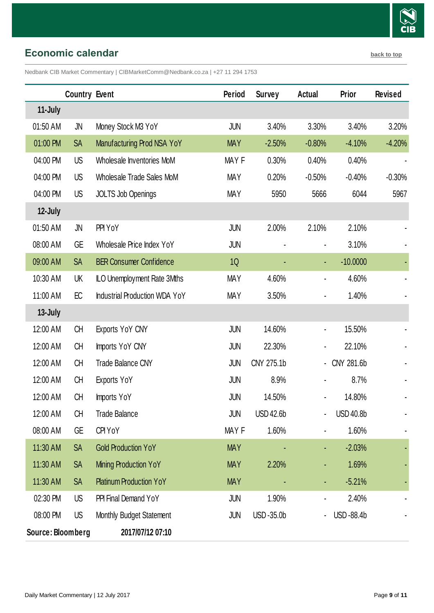

## <span id="page-8-0"></span>**Economic calendar [back to top](#page-0-0)**

Nedbank CIB Market Commentary | CIBMarketComm@Nedbank.co.za | +27 11 294 1753

|                   | <b>Country Event</b> |                                      | Period     | <b>Survey</b>    | Actual                       | Prior            | <b>Revised</b> |
|-------------------|----------------------|--------------------------------------|------------|------------------|------------------------------|------------------|----------------|
| 11-July           |                      |                                      |            |                  |                              |                  |                |
| 01:50 AM          | JN                   | Money Stock M3 YoY                   | <b>JUN</b> | 3.40%            | 3.30%                        | 3.40%            | 3.20%          |
| 01:00 PM          | <b>SA</b>            | Manufacturing Prod NSA YoY           | <b>MAY</b> | $-2.50%$         | $-0.80%$                     | $-4.10%$         | $-4.20%$       |
| 04:00 PM          | US                   | Wholesale Inventories MoM            | MAY F      | 0.30%            | 0.40%                        | 0.40%            |                |
| 04:00 PM          | US                   | Wholesale Trade Sales MoM            | <b>MAY</b> | 0.20%            | $-0.50%$                     | $-0.40%$         | $-0.30%$       |
| 04:00 PM          | US                   | <b>JOLTS Job Openings</b>            | <b>MAY</b> | 5950             | 5666                         | 6044             | 5967           |
| 12-July           |                      |                                      |            |                  |                              |                  |                |
| 01:50 AM          | JN                   | PPI YoY                              | <b>JUN</b> | 2.00%            | 2.10%                        | 2.10%            |                |
| 08:00 AM          | GE                   | Wholesale Price Index YoY            | <b>JUN</b> |                  | $\blacksquare$               | 3.10%            |                |
| 09:00 AM          | <b>SA</b>            | <b>BER Consumer Confidence</b>       | 1Q         |                  | $\blacksquare$               | $-10.0000$       |                |
| 10:30 AM          | UK                   | ILO Unemployment Rate 3Mths          | <b>MAY</b> | 4.60%            | $\blacksquare$               | 4.60%            |                |
| 11:00 AM          | EC                   | <b>Industrial Production WDA YoY</b> | <b>MAY</b> | 3.50%            | $\blacksquare$               | 1.40%            |                |
| 13-July           |                      |                                      |            |                  |                              |                  |                |
| 12:00 AM          | <b>CH</b>            | Exports YoY CNY                      | <b>JUN</b> | 14.60%           | $\blacksquare$               | 15.50%           |                |
| 12:00 AM          | <b>CH</b>            | Imports YoY CNY                      | <b>JUN</b> | 22.30%           |                              | 22.10%           |                |
| 12:00 AM          | <b>CH</b>            | <b>Trade Balance CNY</b>             | JUN        | CNY 275.1b       | $\blacksquare$               | CNY 281.6b       |                |
| 12:00 AM          | CH                   | <b>Exports YoY</b>                   | <b>JUN</b> | 8.9%             | $\qquad \qquad \blacksquare$ | 8.7%             |                |
| 12:00 AM          | CH                   | Imports YoY                          | JUN        | 14.50%           | ۰                            | 14.80%           |                |
| 12:00 AM          | CH                   | <b>Trade Balance</b>                 | <b>JUN</b> | <b>USD 42.6b</b> |                              | <b>USD 40.8b</b> |                |
| 08:00 AM          | GE                   | CPI YoY                              | MAY F      | 1.60%            |                              | 1.60%            |                |
| 11:30 AM          | <b>SA</b>            | <b>Gold Production YoY</b>           | <b>MAY</b> |                  |                              | $-2.03%$         |                |
| 11:30 AM          | <b>SA</b>            | Mining Production YoY                | <b>MAY</b> | 2.20%            |                              | 1.69%            |                |
| 11:30 AM          | <b>SA</b>            | <b>Platinum Production YoY</b>       | <b>MAY</b> |                  |                              | $-5.21%$         |                |
| 02:30 PM          | US                   | PPI Final Demand YoY                 | <b>JUN</b> | 1.90%            |                              | 2.40%            |                |
| 08:00 PM          | US                   | Monthly Budget Statement             | JUN        | USD-35.0b        |                              | USD-88.4b        |                |
| Source: Bloomberg |                      | 2017/07/12 07:10                     |            |                  |                              |                  |                |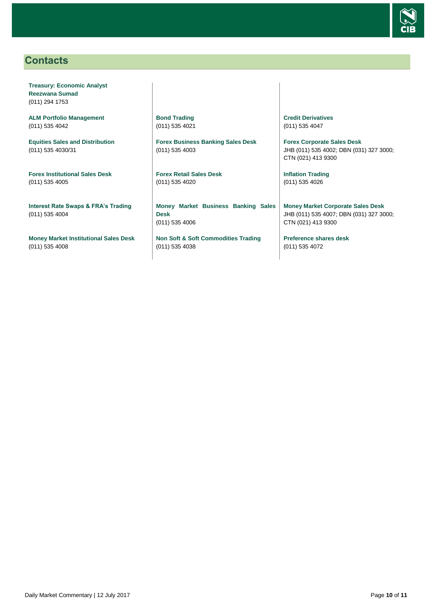

## <span id="page-9-0"></span>**Contacts**

**Treasury: Economic Analyst Reezwana Sumad** (011) 294 1753

**ALM Portfolio Management** (011) 535 4042

**Equities Sales and Distribution** (011) 535 4030/31

**Forex Institutional Sales Desk** (011) 535 4005

**Interest Rate Swaps & FRA's Trading** (011) 535 4004

**Money Market Institutional Sales Desk** (011) 535 4008

**Bond Trading** (011) 535 4021

**Forex Business Banking Sales Desk** (011) 535 4003

**Forex Retail Sales Desk** (011) 535 4020

**Money Market Business Banking Sales Desk** (011) 535 4006

**Non Soft & Soft Commodities Trading** (011) 535 4038

**Credit Derivatives**  (011) 535 4047

**Forex Corporate Sales Desk** JHB (011) 535 4002; DBN (031) 327 3000; CTN (021) 413 9300

**Inflation Trading** (011) 535 4026

**Money Market Corporate Sales Desk** JHB (011) 535 4007; DBN (031) 327 3000; CTN (021) 413 9300

**Preference shares desk** (011) 535 4072